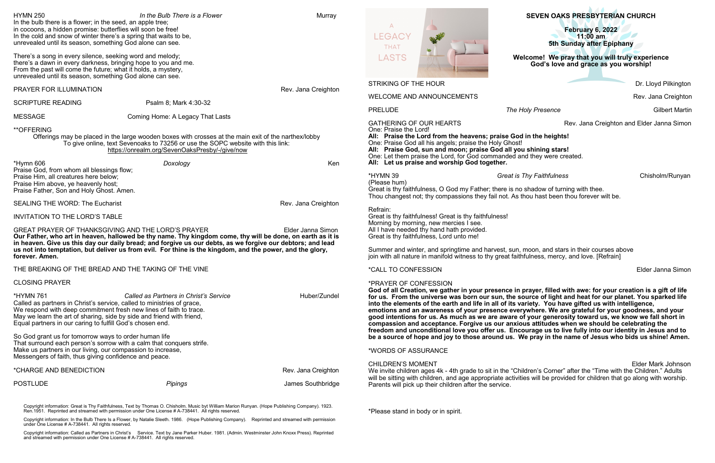# **SEVEN OAKS PRESBYTERIAN CHURCH**

Dr. Lloyd Pilkington

Rev. Jana Creighton

**PRELIGE ACCORD FINDS The Holy Presence** *The Holy Presence* **Gilbert Martin** 

Rev. Jana Creighton and Elder Janna Simon

## in the heights!

**Thy Faithfulness** Chisholm/Runyan

**Elder Janna Simon** 

**God of all Creation, we gather in your presence in prayer, filled with awe: for your creation is a gift of life for us. From the universe was born our sun, the source of light and heat for our planet. You sparked life emotions and an awareness of your presence everywhere. We are grateful for your goodness, and your**  f your generosity toward us, we know we fall short in **freedom and unconditional love you offer us. Encourage us to live fully into our identity in Jesus and to**  *be pray in the name of Jesus who bids us shine! Amen.* 

> Elder Mark Johnson Idren's Corner" after the "Time with the Children." Adults es will be provided for children that go along with worship.

| <b>HYMN 250</b>                                                                                                                                                                                                                                                                                                                                                                                                                                                                                                                                                           | In the Bulb There is a Flower                                                                                                                                                                                                                                                                                                                                                                      | Murray              |                                                                                                                                                                                                                                                                                                                                                                             | <b>SEVEN OAKS PRESBYTERIAN CHURCH</b>                                                                                                                                                                                                                                                                                                                                                                                                                                                                                                                                                                                       |              |
|---------------------------------------------------------------------------------------------------------------------------------------------------------------------------------------------------------------------------------------------------------------------------------------------------------------------------------------------------------------------------------------------------------------------------------------------------------------------------------------------------------------------------------------------------------------------------|----------------------------------------------------------------------------------------------------------------------------------------------------------------------------------------------------------------------------------------------------------------------------------------------------------------------------------------------------------------------------------------------------|---------------------|-----------------------------------------------------------------------------------------------------------------------------------------------------------------------------------------------------------------------------------------------------------------------------------------------------------------------------------------------------------------------------|-----------------------------------------------------------------------------------------------------------------------------------------------------------------------------------------------------------------------------------------------------------------------------------------------------------------------------------------------------------------------------------------------------------------------------------------------------------------------------------------------------------------------------------------------------------------------------------------------------------------------------|--------------|
| In the bulb there is a flower; in the seed, an apple tree;<br>in cocoons, a hidden promise: butterflies will soon be free!<br>In the cold and snow of winter there's a spring that waits to be,<br>unrevealed until its season, something God alone can see.                                                                                                                                                                                                                                                                                                              |                                                                                                                                                                                                                                                                                                                                                                                                    |                     | $\Delta$<br>LEGACY<br>要米<br><b>THAT</b>                                                                                                                                                                                                                                                                                                                                     | February 6, 2022<br>$11:00$ am<br>5th Sunday after Epiphany                                                                                                                                                                                                                                                                                                                                                                                                                                                                                                                                                                 |              |
| There's a song in every silence, seeking word and melody;<br>there's a dawn in every darkness, bringing hope to you and me.<br>From the past will come the future; what it holds, a mystery,<br>unrevealed until its season, something God alone can see.                                                                                                                                                                                                                                                                                                                 |                                                                                                                                                                                                                                                                                                                                                                                                    |                     | <b>LASTS</b>                                                                                                                                                                                                                                                                                                                                                                | Welcome! We pray that you will truly experience<br>God's love and grace as you worship!                                                                                                                                                                                                                                                                                                                                                                                                                                                                                                                                     |              |
| PRAYER FOR ILLUMINATION                                                                                                                                                                                                                                                                                                                                                                                                                                                                                                                                                   |                                                                                                                                                                                                                                                                                                                                                                                                    | Rev. Jana Creighton | <b>STRIKING OF THE HOUR</b>                                                                                                                                                                                                                                                                                                                                                 |                                                                                                                                                                                                                                                                                                                                                                                                                                                                                                                                                                                                                             | Dr. Lloyd Pi |
| <b>SCRIPTURE READING</b>                                                                                                                                                                                                                                                                                                                                                                                                                                                                                                                                                  | Psalm 8; Mark 4:30-32                                                                                                                                                                                                                                                                                                                                                                              |                     | <b>WELCOME AND ANNOUNCEMENTS</b>                                                                                                                                                                                                                                                                                                                                            |                                                                                                                                                                                                                                                                                                                                                                                                                                                                                                                                                                                                                             | Rev. Jana C  |
|                                                                                                                                                                                                                                                                                                                                                                                                                                                                                                                                                                           |                                                                                                                                                                                                                                                                                                                                                                                                    |                     | <b>PRELUDE</b>                                                                                                                                                                                                                                                                                                                                                              | The Holy Presence                                                                                                                                                                                                                                                                                                                                                                                                                                                                                                                                                                                                           | Gilbe        |
| <b>MESSAGE</b><br>**OFFERING                                                                                                                                                                                                                                                                                                                                                                                                                                                                                                                                              | Coming Home: A Legacy That Lasts<br>Offerings may be placed in the large wooden boxes with crosses at the main exit of the narthex/lobby<br>To give online, text Sevenoaks to 73256 or use the SOPC website with this link:<br>https://onrealm.org/SevenOaksPresby/-/give/now                                                                                                                      |                     | <b>GATHERING OF OUR HEARTS</b><br>Rev. Jana Creighton and Elder Jann<br>One: Praise the Lord!<br>All: Praise the Lord from the heavens; praise God in the heights!<br>One: Praise God all his angels; praise the Holy Ghost!<br>All: Praise God, sun and moon; praise God all you shining stars!<br>One: Let them praise the Lord, for God commanded and they were created. |                                                                                                                                                                                                                                                                                                                                                                                                                                                                                                                                                                                                                             |              |
| *Hymn 606<br>Praise God, from whom all blessings flow;<br>Praise Him, all creatures here below;<br>Praise Him above, ye heavenly host;<br>Praise Father, Son and Holy Ghost. Amen.                                                                                                                                                                                                                                                                                                                                                                                        | Doxology                                                                                                                                                                                                                                                                                                                                                                                           | Ken                 | All: Let us praise and worship God together.<br>*HYMN 39<br>(Please hum)<br>Great is thy faithfulness, O God my Father; there is no shadow of turning with thee.                                                                                                                                                                                                            | <b>Great is Thy Faithfulness</b>                                                                                                                                                                                                                                                                                                                                                                                                                                                                                                                                                                                            | Chisholm/    |
| <b>SEALING THE WORD: The Eucharist</b>                                                                                                                                                                                                                                                                                                                                                                                                                                                                                                                                    |                                                                                                                                                                                                                                                                                                                                                                                                    | Rev. Jana Creighton |                                                                                                                                                                                                                                                                                                                                                                             | Thou changest not; thy compassions they fail not. As thou hast been thou forever wilt be.                                                                                                                                                                                                                                                                                                                                                                                                                                                                                                                                   |              |
| <b>INVITATION TO THE LORD'S TABLE</b>                                                                                                                                                                                                                                                                                                                                                                                                                                                                                                                                     |                                                                                                                                                                                                                                                                                                                                                                                                    |                     | Refrain:<br>Great is thy faithfulness! Great is thy faithfulness!                                                                                                                                                                                                                                                                                                           |                                                                                                                                                                                                                                                                                                                                                                                                                                                                                                                                                                                                                             |              |
| forever. Amen.                                                                                                                                                                                                                                                                                                                                                                                                                                                                                                                                                            | <b>GREAT PRAYER OF THANKSGIVING AND THE LORD'S PRAYER</b><br>Our Father, who art in heaven, hallowed be thy name. Thy kingdom come, thy will be done, on earth as it is<br>in heaven. Give us this day our daily bread; and forgive us our debts, as we forgive our debtors; and lead<br>us not into temptation, but deliver us from evil. For thine is the kingdom, and the power, and the glory, | Elder Janna Simon   | Morning by morning, new mercies I see.<br>All I have needed thy hand hath provided.<br>Great is thy faithfulness, Lord unto me!                                                                                                                                                                                                                                             | Summer and winter, and springtime and harvest, sun, moon, and stars in their courses above<br>join with all nature in manifold witness to thy great faithfulness, mercy, and love. [Refrain]                                                                                                                                                                                                                                                                                                                                                                                                                                |              |
|                                                                                                                                                                                                                                                                                                                                                                                                                                                                                                                                                                           | THE BREAKING OF THE BREAD AND THE TAKING OF THE VINE                                                                                                                                                                                                                                                                                                                                               |                     | <i><b>*CALL TO CONFESSION</b></i>                                                                                                                                                                                                                                                                                                                                           |                                                                                                                                                                                                                                                                                                                                                                                                                                                                                                                                                                                                                             | Elder Janna  |
| <b>CLOSING PRAYER</b><br><b>*HYMN 761</b><br>Called as Partners in Christ's Service<br>Called as partners in Christ's service, called to ministries of grace,<br>We respond with deep commitment fresh new lines of faith to trace.<br>May we learn the art of sharing, side by side and friend with friend,<br>Equal partners in our caring to fulfill God's chosen end.<br>So God grant us for tomorrow ways to order human life<br>That surround each person's sorrow with a calm that conquers strife.<br>Make us partners in our living, our compassion to increase, |                                                                                                                                                                                                                                                                                                                                                                                                    | Huber/Zundel        | *PRAYER OF CONFESSION                                                                                                                                                                                                                                                                                                                                                       | God of all Creation, we gather in your presence in prayer, filled with awe: for your creation is a gift<br>for us. From the universe was born our sun, the source of light and heat for our planet. You spark<br>into the elements of the earth and life in all of its variety. You have gifted us with intelligence,<br>emotions and an awareness of your presence everywhere. We are grateful for your goodness, and<br>good intentions for us. As much as we are aware of your generosity toward us, we know we fall sh<br>compassion and acceptance. Forgive us our anxious attitudes when we should be celebrating the |              |
|                                                                                                                                                                                                                                                                                                                                                                                                                                                                                                                                                                           |                                                                                                                                                                                                                                                                                                                                                                                                    |                     | freedom and unconditional love you offer us. Encourage us to live fully into our identity in Jesus a<br>be a source of hope and joy to those around us. We pray in the name of Jesus who bids us shine!                                                                                                                                                                     |                                                                                                                                                                                                                                                                                                                                                                                                                                                                                                                                                                                                                             |              |
| Messengers of faith, thus giving confidence and peace.                                                                                                                                                                                                                                                                                                                                                                                                                                                                                                                    |                                                                                                                                                                                                                                                                                                                                                                                                    |                     | *WORDS OF ASSURANCE                                                                                                                                                                                                                                                                                                                                                         |                                                                                                                                                                                                                                                                                                                                                                                                                                                                                                                                                                                                                             |              |
| *CHARGE AND BENEDICTION                                                                                                                                                                                                                                                                                                                                                                                                                                                                                                                                                   |                                                                                                                                                                                                                                                                                                                                                                                                    | Rev. Jana Creighton | <b>CHILDREN'S MOMENT</b><br>We invite children ages 4k - 4th grade to sit in the "Children's Corner" after the "Time with the Children." A<br>will be sitting with children, and age appropriate activities will be provided for children that go along with w                                                                                                              |                                                                                                                                                                                                                                                                                                                                                                                                                                                                                                                                                                                                                             | Elder Mark J |
| <b>POSTLUDE</b>                                                                                                                                                                                                                                                                                                                                                                                                                                                                                                                                                           | <b>Pipings</b>                                                                                                                                                                                                                                                                                                                                                                                     | James Southbridge   | Parents will pick up their children after the service.                                                                                                                                                                                                                                                                                                                      |                                                                                                                                                                                                                                                                                                                                                                                                                                                                                                                                                                                                                             |              |
|                                                                                                                                                                                                                                                                                                                                                                                                                                                                                                                                                                           | Copyright information: Great is Thy Faithfulness, Text by Thomas O. Chisholm. Music byt William Marion Runyan. (Hope Publishing Company). 1923.<br>Ren.1951. Reprinted and streamed with permission under One License # A-738441.                                                                                                                                                                  |                     | *Please stand in body or in spirit.                                                                                                                                                                                                                                                                                                                                         |                                                                                                                                                                                                                                                                                                                                                                                                                                                                                                                                                                                                                             |              |
| under One License # A-738441. All rights reserved.                                                                                                                                                                                                                                                                                                                                                                                                                                                                                                                        | Copyright information: In the Bulb There Is a Flower, by Natalie Sleeth. 1986. (Hope Publishing Company). Reprinted and streamed with permission                                                                                                                                                                                                                                                   |                     |                                                                                                                                                                                                                                                                                                                                                                             |                                                                                                                                                                                                                                                                                                                                                                                                                                                                                                                                                                                                                             |              |

Copyright information: Called as Partners in Christ's Service. Text by Jane Parker Huber. 1981. (Admin. Westminster John Knoxx Press). Reprinted and streamed with permission under One License # A-738441. All rights reserved.